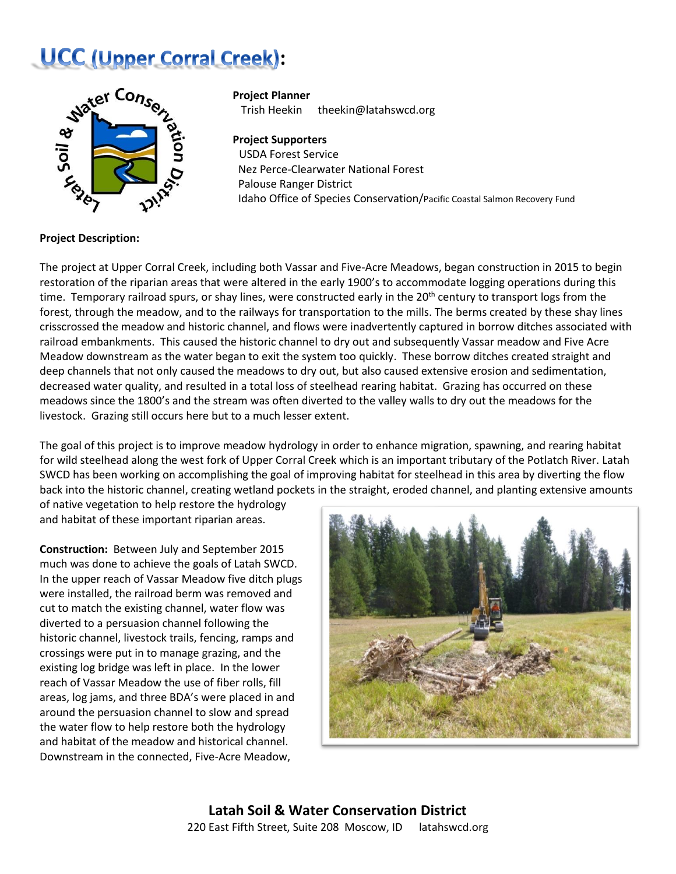## UCC (Upper Corral Creek):



**Project Planner**

Trish Heekin theekin@latahswcd.org

## **Project Supporters**

 USDA Forest Service Nez Perce-Clearwater National Forest Palouse Ranger District Idaho Office of Species Conservation/Pacific Coastal Salmon Recovery Fund

## **Project Description:**

The project at Upper Corral Creek, including both Vassar and Five-Acre Meadows, began construction in 2015 to begin restoration of the riparian areas that were altered in the early 1900's to accommodate logging operations during this time. Temporary railroad spurs, or shay lines, were constructed early in the 20<sup>th</sup> century to transport logs from the forest, through the meadow, and to the railways for transportation to the mills. The berms created by these shay lines crisscrossed the meadow and historic channel, and flows were inadvertently captured in borrow ditches associated with railroad embankments. This caused the historic channel to dry out and subsequently Vassar meadow and Five Acre Meadow downstream as the water began to exit the system too quickly. These borrow ditches created straight and deep channels that not only caused the meadows to dry out, but also caused extensive erosion and sedimentation, decreased water quality, and resulted in a total loss of steelhead rearing habitat. Grazing has occurred on these meadows since the 1800's and the stream was often diverted to the valley walls to dry out the meadows for the livestock. Grazing still occurs here but to a much lesser extent.

The goal of this project is to improve meadow hydrology in order to enhance migration, spawning, and rearing habitat for wild steelhead along the west fork of Upper Corral Creek which is an important tributary of the Potlatch River. Latah SWCD has been working on accomplishing the goal of improving habitat for steelhead in this area by diverting the flow back into the historic channel, creating wetland pockets in the straight, eroded channel, and planting extensive amounts

of native vegetation to help restore the hydrology and habitat of these important riparian areas.

**Construction:** Between July and September 2015 much was done to achieve the goals of Latah SWCD. In the upper reach of Vassar Meadow five ditch plugs were installed, the railroad berm was removed and cut to match the existing channel, water flow was diverted to a persuasion channel following the historic channel, livestock trails, fencing, ramps and crossings were put in to manage grazing, and the existing log bridge was left in place. In the lower reach of Vassar Meadow the use of fiber rolls, fill areas, log jams, and three BDA's were placed in and around the persuasion channel to slow and spread the water flow to help restore both the hydrology and habitat of the meadow and historical channel. Downstream in the connected, Five-Acre Meadow,

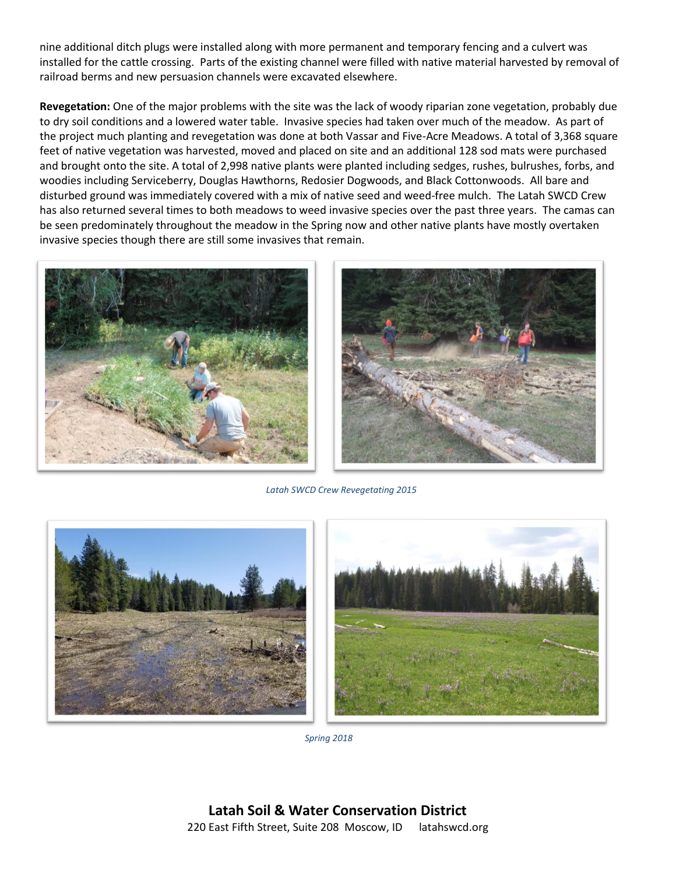nine additional ditch plugs were installed along with more permanent and temporary fencing and a culvert was installed for the cattle crossing. Parts of the existing channel were filled with native material harvested by removal of railroad berms and new persuasion channels were excavated elsewhere.

**Revegetation:** One of the major problems with the site was the lack of woody riparian zone vegetation, probably due to dry soil conditions and a lowered water table. Invasive species had taken over much of the meadow. As part of the project much planting and revegetation was done at both Vassar and Five-Acre Meadows. A total of 3,368 square feet of native vegetation was harvested, moved and placed on site and an additional 128 sod mats were purchased and brought onto the site. A total of 2,998 native plants were planted including sedges, rushes, bulrushes, forbs, and woodies including Serviceberry, Douglas Hawthorns, Redosier Dogwoods, and Black Cottonwoods. All bare and disturbed ground was immediately covered with a mix of native seed and weed-free mulch. The Latah SWCD Crew has also returned several times to both meadows to weed invasive species over the past three years. The camas can be seen predominately throughout the meadow in the Spring now and other native plants have mostly overtaken invasive species though there are still some invasives that remain.





 *Latah SWCD Crew Revegetating 2015* 





 *Spring 2018*